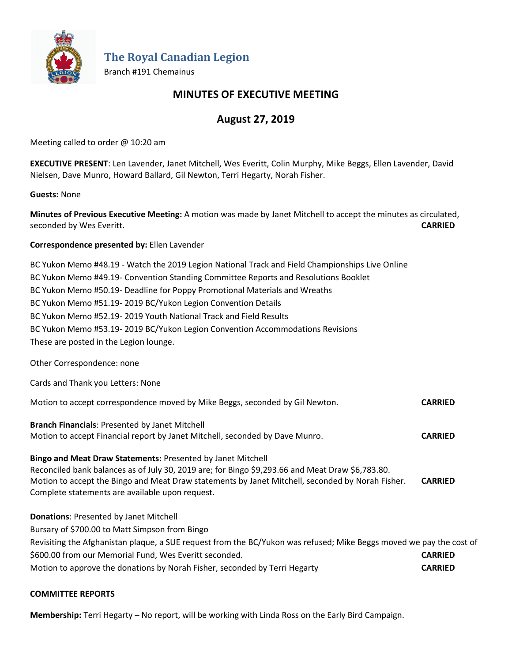

**The Royal Canadian Legion**

Branch #191 Chemainus

## **MINUTES OF EXECUTIVE MEETING**

# **August 27, 2019**

Meeting called to order @ 10:20 am

**EXECUTIVE PRESENT**: Len Lavender, Janet Mitchell, Wes Everitt, Colin Murphy, Mike Beggs, Ellen Lavender, David Nielsen, Dave Munro, Howard Ballard, Gil Newton, Terri Hegarty, Norah Fisher.

### **Guests:** None

**Minutes of Previous Executive Meeting:** A motion was made by Janet Mitchell to accept the minutes as circulated, seconded by Wes Everitt. **CARRIED**

### **Correspondence presented by:** Ellen Lavender

BC Yukon Memo #48.19 - Watch the 2019 Legion National Track and Field Championships Live Online BC Yukon Memo #49.19- Convention Standing Committee Reports and Resolutions Booklet BC Yukon Memo #50.19- Deadline for Poppy Promotional Materials and Wreaths BC Yukon Memo #51.19- 2019 BC/Yukon Legion Convention Details BC Yukon Memo #52.19- 2019 Youth National Track and Field Results BC Yukon Memo #53.19- 2019 BC/Yukon Legion Convention Accommodations Revisions These are posted in the Legion lounge. Other Correspondence: none

Cards and Thank you Letters: None Motion to accept correspondence moved by Mike Beggs, seconded by Gil Newton. **CARRIED Branch Financials**: Presented by Janet Mitchell

Motion to accept Financial report by Janet Mitchell, seconded by Dave Munro. **CARRIED**

#### **Bingo and Meat Draw Statements:** Presented by Janet Mitchell

Reconciled bank balances as of July 30, 2019 are; for Bingo \$9,293.66 and Meat Draw \$6,783.80. Motion to accept the Bingo and Meat Draw statements by Janet Mitchell, seconded by Norah Fisher. **CARRIED** Complete statements are available upon request.

### **Donations**: Presented by Janet Mitchell

Bursary of \$700.00 to Matt Simpson from Bingo Revisiting the Afghanistan plaque, a SUE request from the BC/Yukon was refused; Mike Beggs moved we pay the cost of \$600.00 from our Memorial Fund, Wes Everitt seconded. **CARRIED** Motion to approve the donations by Norah Fisher, seconded by Terri Hegarty **CARRIED**

### **COMMITTEE REPORTS**

**Membership:** Terri Hegarty – No report, will be working with Linda Ross on the Early Bird Campaign.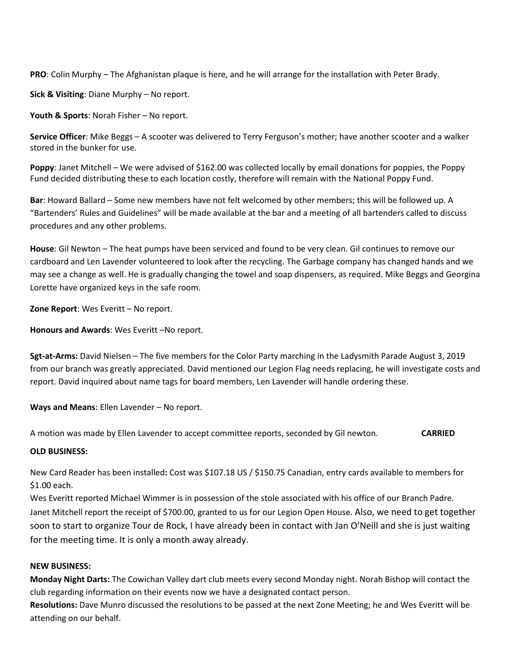**PRO**: Colin Murphy – The Afghanistan plaque is here, and he will arrange for the installation with Peter Brady.

**Sick & Visiting**: Diane Murphy – No report.

**Youth & Sports**: Norah Fisher – No report.

**Service Officer**: Mike Beggs – A scooter was delivered to Terry Ferguson's mother; have another scooter and a walker stored in the bunker for use.

**Poppy**: Janet Mitchell – We were advised of \$162.00 was collected locally by email donations for poppies, the Poppy Fund decided distributing these to each location costly, therefore will remain with the National Poppy Fund.

**Bar**: Howard Ballard – Some new members have not felt welcomed by other members; this will be followed up. A "Bartenders' Rules and Guidelines" will be made available at the bar and a meeting of all bartenders called to discuss procedures and any other problems.

**House**: Gil Newton – The heat pumps have been serviced and found to be very clean. Gil continues to remove our cardboard and Len Lavender volunteered to look after the recycling. The Garbage company has changed hands and we may see a change as well. He is gradually changing the towel and soap dispensers, as required. Mike Beggs and Georgina Lorette have organized keys in the safe room.

**Zone Report**: Wes Everitt – No report.

**Honours and Awards**: Wes Everitt –No report.

**Sgt-at-Arms:** David Nielsen – The five members for the Color Party marching in the Ladysmith Parade August 3, 2019 from our branch was greatly appreciated. David mentioned our Legion Flag needs replacing, he will investigate costs and report. David inquired about name tags for board members, Len Lavender will handle ordering these.

**Ways and Means**: Ellen Lavender – No report.

A motion was made by Ellen Lavender to accept committee reports, seconded by Gil newton. **CARRIED**

#### **OLD BUSINESS:**

New Card Reader has been installed**:** Cost was \$107.18 US / \$150.75 Canadian, entry cards available to members for \$1.00 each.

Wes Everitt reported Michael Wimmer is in possession of the stole associated with his office of our Branch Padre. Janet Mitchell report the receipt of \$700.00, granted to us for our Legion Open House. Also, we need to get together soon to start to organize Tour de Rock, I have already been in contact with Jan O'Neill and she is just waiting for the meeting time. It is only a month away already.

### **NEW BUSINESS:**

**Monday Night Darts:** The Cowichan Valley dart club meets every second Monday night. Norah Bishop will contact the club regarding information on their events now we have a designated contact person.

**Resolutions:** Dave Munro discussed the resolutions to be passed at the next Zone Meeting; he and Wes Everitt will be attending on our behalf.